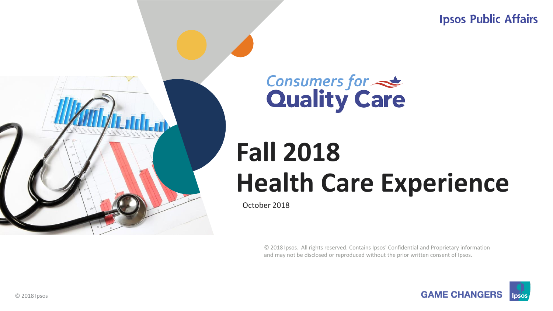**Ipsos Public Affairs** 





# **Fall 2018 Health Care Experience**

October 2018

© 2018 Ipsos. All rights reserved. Contains Ipsos' Confidential and Proprietary information and may not be disclosed or reproduced without the prior written consent of Ipsos.

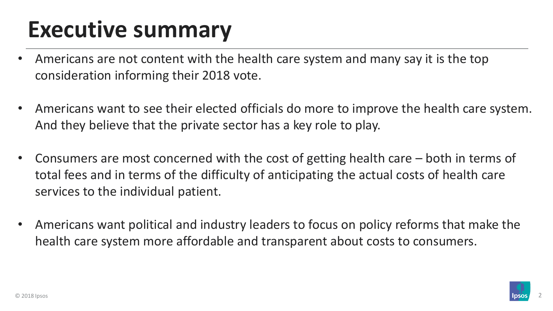# **Executive summary**

- Americans are not content with the health care system and many say it is the top consideration informing their 2018 vote.
- Americans want to see their elected officials do more to improve the health care system. And they believe that the private sector has a key role to play.
- Consumers are most concerned with the cost of getting health care both in terms of total fees and in terms of the difficulty of anticipating the actual costs of health care services to the individual patient.
- Americans want political and industry leaders to focus on policy reforms that make the health care system more affordable and transparent about costs to consumers.

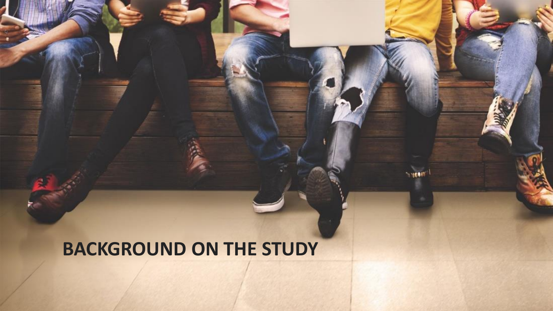#### **BACKGROUND ON THE STUDY**

© 2018 Ipsos 3

 $\sim$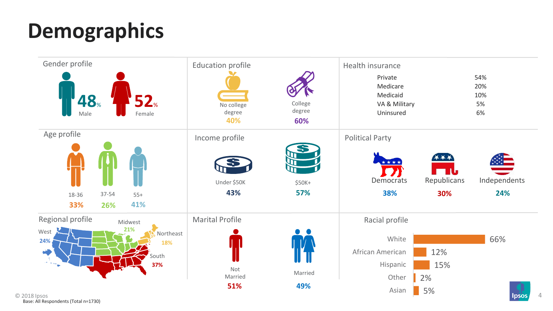## **Demographics**



Base: All Respondents (Total n=1730)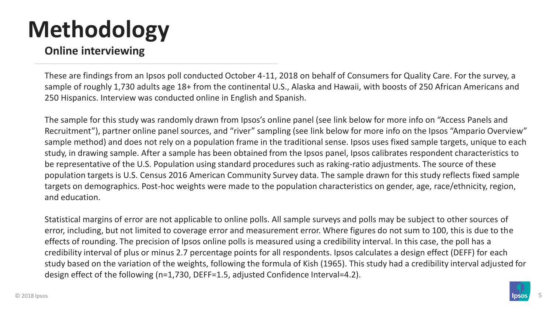# **Methodology**

#### **Online interviewing**

These are findings from an Ipsos poll conducted October 4-11, 2018 on behalf of Consumers for Quality Care. For the survey, a sample of roughly 1,730 adults age 18+ from the continental U.S., Alaska and Hawaii, with boosts of 250 African Americans and 250 Hispanics. Interview was conducted online in English and Spanish.

The sample for this study was randomly drawn from Ipsos's online panel (see link below for more info on "Access Panels and Recruitment"), partner online panel sources, and "river" sampling (see link below for more info on the Ipsos "Ampario Overview" sample method) and does not rely on a population frame in the traditional sense. Ipsos uses fixed sample targets, unique to each study, in drawing sample. After a sample has been obtained from the Ipsos panel, Ipsos calibrates respondent characteristics to be representative of the U.S. Population using standard procedures such as raking-ratio adjustments. The source of these population targets is U.S. Census 2016 American Community Survey data. The sample drawn for this study reflects fixed sample targets on demographics. Post-hoc weights were made to the population characteristics on gender, age, race/ethnicity, region, and education.

Statistical margins of error are not applicable to online polls. All sample surveys and polls may be subject to other sources of error, including, but not limited to coverage error and measurement error. Where figures do not sum to 100, this is due to the effects of rounding. The precision of Ipsos online polls is measured using a credibility interval. In this case, the poll has a credibility interval of plus or minus 2.7 percentage points for all respondents. Ipsos calculates a design effect (DEFF) for each study based on the variation of the weights, following the formula of Kish (1965). This study had a credibility interval adjusted for design effect of the following (n=1,730, DEFF=1.5, adjusted Confidence Interval=4.2).

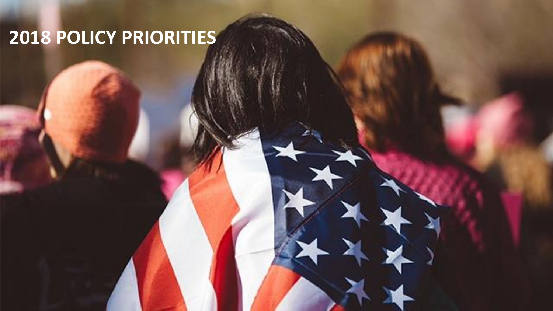#### **2018 POLICY PRIORITIES**

© 2018 Ipsos 6 December 1988 In the Company of the Company of the Company of the Company of the Company of the Company of the Company of the Company of the Company of the Company of the Company of the Company of the Compa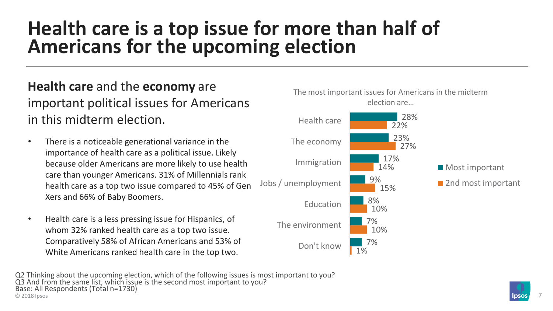#### **Health care is a top issue for more than half of Americans for the upcoming election**

#### **Health care** and the **economy** are important political issues for Americans in this midterm election.

- There is a noticeable generational variance in the importance of health care as a political issue. Likely because older Americans are more likely to use health care than younger Americans. 31% of Millennials rank health care as a top two issue compared to 45% of Gen Xers and 66% of Baby Boomers.
- Health care is a less pressing issue for Hispanics, of whom 32% ranked health care as a top two issue. Comparatively 58% of African Americans and 53% of White Americans ranked health care in the top two.



© 2018 Ipsos **Proposed in the contract of the contract of the contract of the contract of the contract of the contract of the contract of the contract of the contract of the contract of the contract of the contract of the** Q2 Thinking about the upcoming election, which of the following issues is most important to you? Q3 And from the same list, which issue is the second most important to you? Base: All Respondents (Total n=1730)

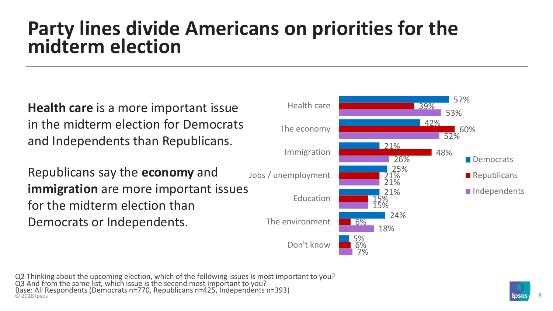#### **Party lines divide Americans on priorities for the midterm election**

**Health care** is a more important issue in the midterm election for Democrats and Independents than Republicans.

Republicans say the **economy** and **immigration** are more important issues for the midterm election than Democrats or Independents.



Base: All Respondents (Democrats n=770, Republicans n=425, Independents n=393)<br>© 2018 Ipsos 8 Q2 Thinking about the upcoming election, which of the following issues is most important to you? Q3 And from the same list, which issue is the second most important to you? Base: All Respondents (Democrats n=770, Republicans n=425, Independents n=393)

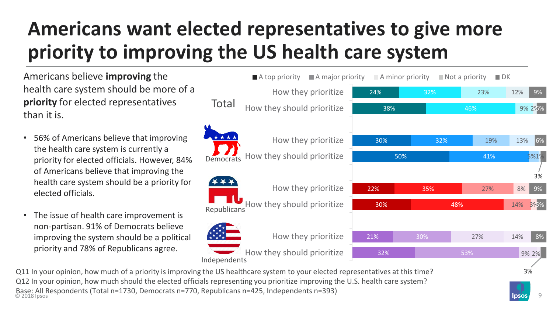## **Americans want elected representatives to give more priority to improving the US health care system**

Americans believe **improving** the health care system should be more of a **priority** for elected representatives than it is.

- 56% of Americans believe that improving the health care system is currently a priority for elected officials. However, 84% of Americans believe that improving the health care system should be a priority for elected officials.
- The issue of health care improvement is non-partisan. 91% of Democrats believe improving the system should be a political priority and 78% of Republicans agree.

|                    | $\blacksquare$ A top priority $\blacksquare$ A major priority           |                     |     | $\blacksquare$ A minor priority | $\blacksquare$ Not a priority | $\blacksquare$ DK |
|--------------------|-------------------------------------------------------------------------|---------------------|-----|---------------------------------|-------------------------------|-------------------|
|                    |                                                                         | How they prioritize | 24% | 32%                             | 23%                           | 12%<br>9%         |
| Total              | How they should prioritize                                              |                     | 38% |                                 | 46%                           | 9% 2%%            |
|                    |                                                                         |                     |     |                                 |                               |                   |
|                    |                                                                         | How they prioritize | 30% | 32%                             | 19%                           | 13%<br>6%         |
| Democrats          | How they should prioritize                                              |                     |     | 50%                             | 41%                           | 5%1%              |
|                    |                                                                         |                     |     |                                 |                               | 3%                |
|                    |                                                                         | How they prioritize | 22% | 35%                             | 27%                           | 8%<br>9%          |
| <b>Republicans</b> | How they should prioritize                                              |                     | 30% |                                 | 48%                           | 14%<br>3%%        |
|                    |                                                                         | How they prioritize | 21% | 30%                             | 27%                           | 8%<br>14%         |
| Independents       | How they should prioritize                                              |                     | 32% |                                 | 53%                           | 9% 2%             |
|                    | the LIS healthcare system to your elected representatives at this time? |                     |     |                                 |                               | 3%                |

Base: All Respondents (Total n=1730, Democrats n=770, Republicans n=425, Independents n=393)<br>© 2018 lpsos **1998** lpsos and the specific of the set of the specific of the specific of the specific of the specific of the spec Q11 In your opinion, how much of a priority is improving the US healthcare system to your elected representatives at this time? Q12 In your opinion, how much should the elected officials representing you prioritize improving the U.S. health care system?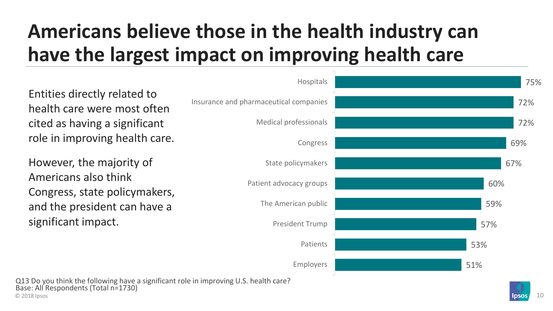## **Americans believe those in the health industry can have the largest impact on improving health care**

Entities directly related to health care were most often cited as having a significant role in improving health care.

However, the majority of Americans also think Congress, state policymakers, and the president can have a significant impact.



© 2018 Ipsos 10 Q13 Do you think the following have a significant role in improving U.S. health care? Base: All Respondents (Total n=1730)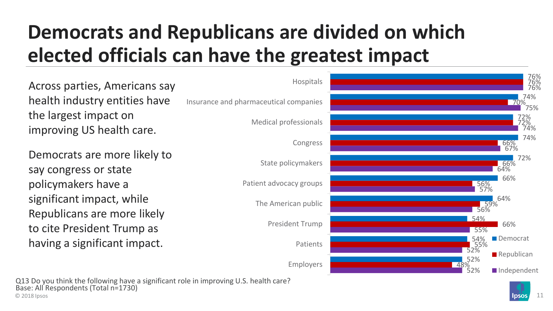## **Democrats and Republicans are divided on which elected officials can have the greatest impact**

76% 74% 72% 72% 74% 72% 66% 64% 54% 54% 55% 52% 76% 76% 70% 66% 67% 66% 56% 59% 66% 48% 75% 74% 64% 57% 56% 55% 52% 52% **Hospitals** Insurance and pharmaceutical companies Medical professionals Congress State policymakers Patient advocacy groups The American public President Trump Patients Employers **Democrat Republican** Independent Across parties, Americans say health industry entities have the largest impact on improving US health care. Democrats are more likely to say congress or state policymakers have a significant impact, while Republicans are more likely to cite President Trump as having a significant impact.

© 2018 Ipsos 11 Q13 Do you think the following have a significant role in improving U.S. health care? Base: All Respondents (Total n=1730)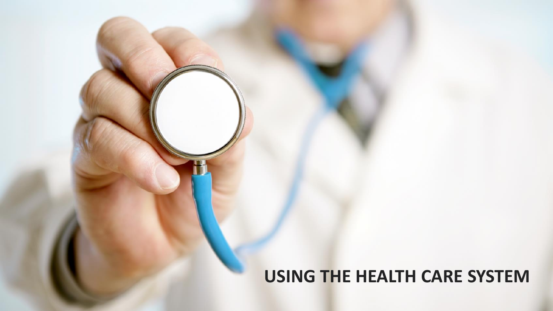#### **USING THE HEALTH CARE SYSTEM**

© 2018 Ipsos 12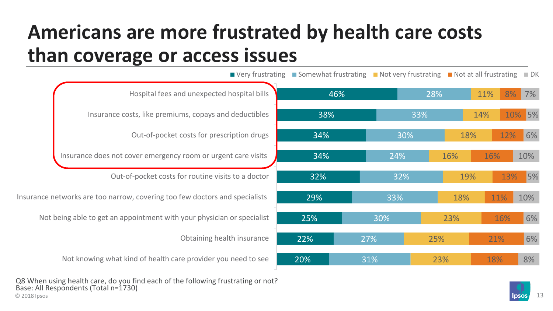#### **Americans are more frustrated by health care costs than coverage or access issues**

|                                                                             | ■ Very frustrating ■ Somewhat frustrating ■ Not very frustrating ■ Not at all frustrating ■ DK |     |     |            |     |
|-----------------------------------------------------------------------------|------------------------------------------------------------------------------------------------|-----|-----|------------|-----|
| Hospital fees and unexpected hospital bills                                 | 46%                                                                                            |     | 28% | 11%<br>8%  | 7%  |
| Insurance costs, like premiums, copays and deductibles                      | 38%                                                                                            |     | 33% | 10%<br>14% | 5%  |
| Out-of-pocket costs for prescription drugs                                  | 34%                                                                                            | 30% | 18% | 12%        | 6%  |
| Insurance does not cover emergency room or urgent care visits               | 34%                                                                                            | 24% | 16% | 16%        | 10% |
| Out-of-pocket costs for routine visits to a doctor                          | 32%                                                                                            | 32% | 19% | 13%        | 5%  |
| Insurance networks are too narrow, covering too few doctors and specialists | 29%                                                                                            | 33% | 18% | 11%        | 10% |
| Not being able to get an appointment with your physician or specialist      | 25%                                                                                            | 30% | 23% | 16%        | 6%  |
| Obtaining health insurance                                                  | 22%                                                                                            | 27% | 25% | 21%        | 6%  |
| Not knowing what kind of health care provider you need to see               | 20%                                                                                            | 31% | 23% | 18%        | 8%  |
|                                                                             |                                                                                                |     |     |            |     |

© 2018 Ipsos 13 Q8 When using health care, do you find each of the following frustrating or not? Base: All Respondents (Total n=1730)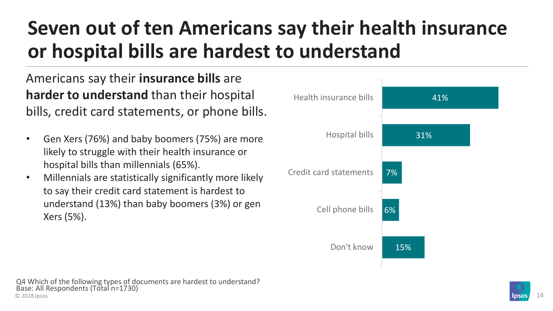#### **Seven out of ten Americans say their health insurance or hospital bills are hardest to understand**

Americans say their **insurance bills** are **harder to understand** than their hospital bills, credit card statements, or phone bills.

- Gen Xers (76%) and baby boomers (75%) are more likely to struggle with their health insurance or hospital bills than millennials (65%).
- Millennials are statistically significantly more likely to say their credit card statement is hardest to understand (13%) than baby boomers (3%) or gen Xers (5%).

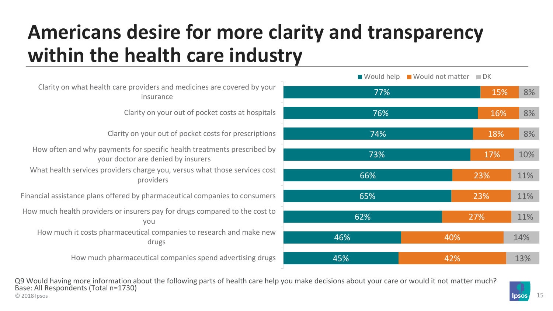### **Americans desire for more clarity and transparency within the health care industry**

Clarity on what health care providers and medicines are covered by your insurance

Clarity on your out of pocket costs at hospitals

Clarity on your out of pocket costs for prescriptions

How often and why payments for specific health treatments prescribed by your doctor are denied by insurers

What health services providers charge you, versus what those services cost providers

Financial assistance plans offered by pharmaceutical companies to consumers

How much health providers or insurers pay for drugs compared to the cost to you

How much it costs pharmaceutical companies to research and make new drugs

How much pharmaceutical companies spend advertising drugs

|     | ■ Would help ■ Would not matter ■ DK |           |
|-----|--------------------------------------|-----------|
| 77% |                                      | 15%<br>8% |
| 76% |                                      | 8%<br>16% |
| 74% |                                      | 8%<br>18% |
| 73% | 17%                                  | 10%       |
| 66% | 23%                                  | 11%       |
| 65% | 23%                                  | 11%       |
| 62% | 27%                                  | 11%       |
| 46% | 40%                                  | 14%       |
| 45% | 42%                                  | 13%       |

© 2018 Ipsos 15 Q9 Would having more information about the following parts of health care help you make decisions about your care or would it not matter much? Base: All Respondents (Total n=1730)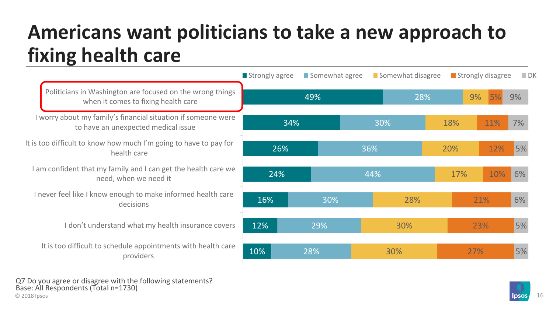### **Americans want politicians to take a new approach to fixing health care**

|                                                                                                      | ■ Strongly agree | Somewhat agree | Somewhat disagree | ■ Strongly disagree |     | $\Box$ DK |
|------------------------------------------------------------------------------------------------------|------------------|----------------|-------------------|---------------------|-----|-----------|
| Politicians in Washington are focused on the wrong things<br>when it comes to fixing health care     |                  | 49%            | 28%               | 9%                  |     | 9%        |
| I worry about my family's financial situation if someone were<br>to have an unexpected medical issue | 34%              |                | 30%               | 18%                 | 11% | 7%        |
| It is too difficult to know how much I'm going to have to pay for<br>health care                     | 26%              |                | 36%               | 20%                 | 12% | 5%        |
| I am confident that my family and I can get the health care we<br>need, when we need it              | 24%              |                | 44%               | 17%                 | 10% | 6%        |
| I never feel like I know enough to make informed health care<br>decisions                            | 16%              | 30%            | 28%               | 21%                 |     | 6%        |
| I don't understand what my health insurance covers                                                   | 12%              | 29%            | 30%               | 23%                 |     | 5%        |
| It is too difficult to schedule appointments with health care<br>providers                           | 10%              | 28%            | 30%               | 27%                 |     | 5%        |

© 2018 Ipsos 16 Q7 Do you agree or disagree with the following statements? Base: All Respondents (Total n=1730)

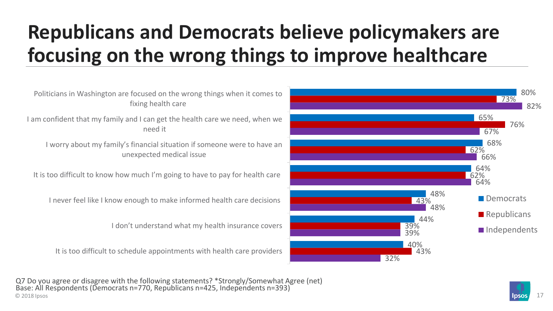## **Republicans and Democrats believe policymakers are focusing on the wrong things to improve healthcare**



© 2018 Ipsos 17 Q7 Do you agree or disagree with the following statements? \*Strongly/Somewhat Agree (net) Base: All Respondents (Democrats n=770, Republicans n=425, Independents n=393)

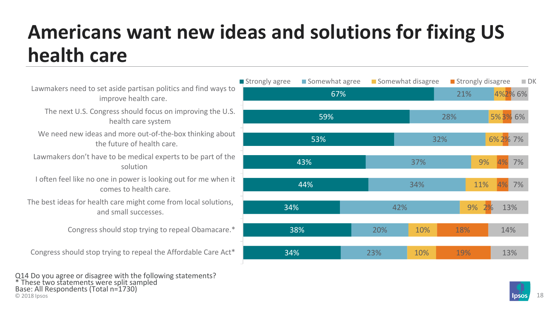### **Americans want new ideas and solutions for fixing US health care**

Lawmakers need to set aside partisan politics and find ways to improve health care. The next U.S. Congress should focus on improving the U.S. health care system We need new ideas and more out-of-the-box thinking about the future of health care. Lawmakers don't have to be medical experts to be part of the solution I often feel like no one in power is looking out for me when it comes to health care. The best ideas for health care might come from local solutions, and small successes. Congress should stop trying to repeal Obamacare.\* Congress should stop trying to repeal the Affordable Care Act\*

| Strongly agree<br>Somewhat agree |     |  | Somewhat disagree |     |     |     | ■ Strongly disagree |    |          | $\blacksquare$ DK |
|----------------------------------|-----|--|-------------------|-----|-----|-----|---------------------|----|----------|-------------------|
| 67%                              |     |  |                   |     |     |     | 21%                 |    |          | 4%2% 6%           |
|                                  | 59% |  |                   |     |     | 28% |                     |    | 5% 3% 6% |                   |
|                                  | 53% |  |                   |     |     | 32% |                     |    | 6% 2% 7% |                   |
|                                  | 43% |  |                   |     | 37% |     |                     | 9% | 4%       | 7%                |
|                                  | 44% |  |                   |     | 34% |     | 11%                 |    | 4%       | 7%                |
| 34%                              |     |  |                   | 42% |     |     | 9%                  | 2% | 13%      |                   |
|                                  | 38% |  | 20%               |     | 10% |     | 18%                 |    | 14%      |                   |
| 34%                              |     |  | 23%               |     | 10% |     | 19%                 |    | 13%      |                   |

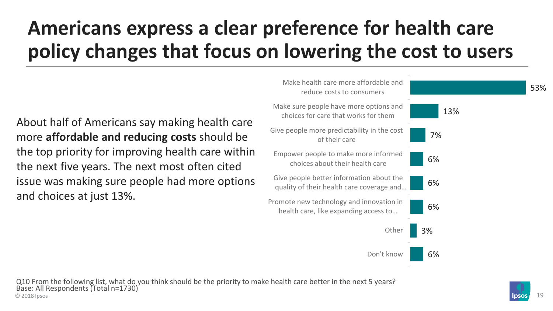### **Americans express a clear preference for health care policy changes that focus on lowering the cost to users**

About half of Americans say making health care more **affordable and reducing costs** should be the top priority for improving health care within the next five years. The next most often cited issue was making sure people had more options and choices at just 13%.



© 2018 Ipsos **1980s 1980s 1990s 1990s 1990s 1990s 1990s 1990s 1990s 1990s 1990s 1990s 1990s** Q10 From the following list, what do you think should be the priority to make health care better in the next 5 years? Base: All Respondents (Total n=1730)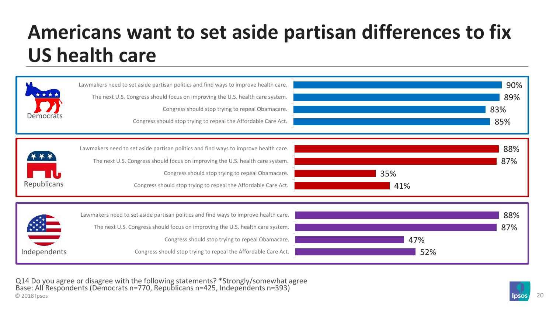#### **Americans want to set aside partisan differences to fix US health care**



© 2018 Ipsos 20 Q14 Do you agree or disagree with the following statements? \*Strongly/somewhat agree Base: All Respondents (Democrats n=770, Republicans n=425, Independents n=393)

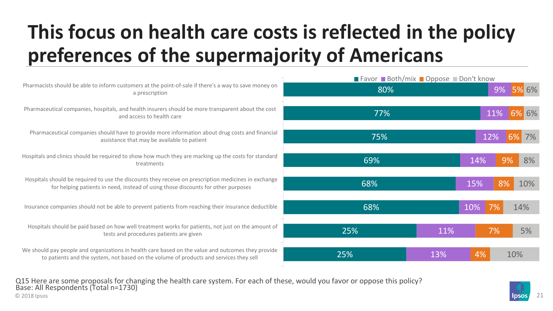## **This focus on health care costs is reflected in the policy preferences of the supermajority of Americans**

|                                                                                                                                                                                              | ■ Favor ■ Both/mix ■ Oppose ■ Don't know |     |           |           |  |  |
|----------------------------------------------------------------------------------------------------------------------------------------------------------------------------------------------|------------------------------------------|-----|-----------|-----------|--|--|
| Pharmacists should be able to inform customers at the point-of-sale if there's a way to save money on<br>a prescription                                                                      | 80%                                      |     |           | 6%<br>9%  |  |  |
| Pharmaceutical companies, hospitals, and health insurers should be more transparent about the cost<br>and access to health care                                                              | 77%                                      |     | 11%       | 6% 6%     |  |  |
| Pharmaceutical companies should have to provide more information about drug costs and financial<br>assistance that may be available to patient                                               | 75%                                      |     | 12%       | 7%<br>6%  |  |  |
| Hospitals and clinics should be required to show how much they are marking up the costs for standard<br>treatments                                                                           | 69%                                      |     | 14%       | 9%<br>8%  |  |  |
| Hospitals should be required to use the discounts they receive on prescription medicines in exchange<br>for helping patients in need, instead of using those discounts for other purposes    | 68%                                      |     | 15%       | 8%<br>10% |  |  |
| Insurance companies should not be able to prevent patients from reaching their insurance deductible                                                                                          | 68%                                      |     | 10%<br>7% | 14%       |  |  |
| Hospitals should be paid based on how well treatment works for patients, not just on the amount of<br>tests and procedures patients are given                                                | 25%                                      | 11% | 7%        | 5%        |  |  |
| We should pay people and organizations in health care based on the value and outcomes they provide<br>to patients and the system, not based on the volume of products and services they sell | 25%                                      | 13% | 4%        | 10%       |  |  |
| 015 Here are some proposals for changing the health care system. For each of these, would you favor or oppose this policy?                                                                   |                                          |     |           |           |  |  |

© 2018 Ipsos 21 Q15 Here are some proposals for changing the health care system. For each of these, would you favor or oppose this policy? Base: All Respondents (Total n=1730)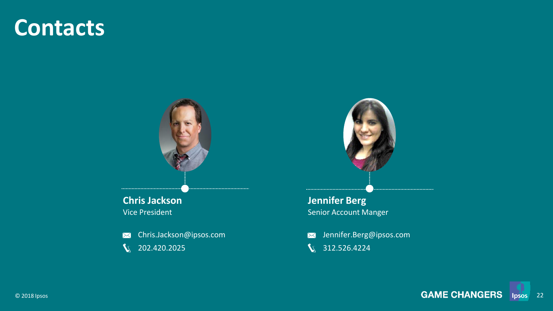#### **Contacts**



202.420.2025  $\mathbf{V}$ 



#### **Jennifer Berg** Senior Account Manger

Jennifer.Berg@ipsos.com  $$312.526.4224$$